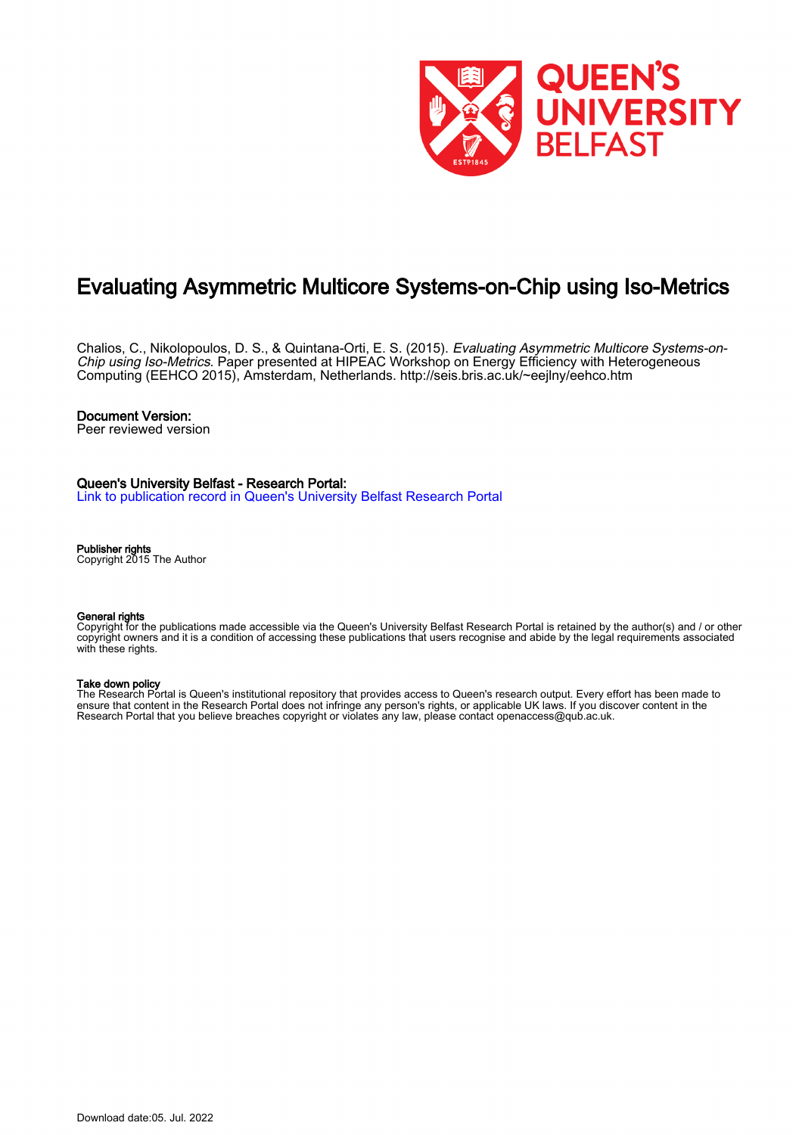

# Evaluating Asymmetric Multicore Systems-on-Chip using Iso-Metrics

Chalios, C., Nikolopoulos, D. S., & Quintana-Orti, E. S. (2015). *Evaluating Asymmetric Multicore Systems-on-*Chip using Iso-Metrics. Paper presented at HIPEAC Workshop on Energy Efficiency with Heterogeneous Computing (EEHCO 2015), Amsterdam, Netherlands. <http://seis.bris.ac.uk/~eejlny/eehco.htm>

## Document Version:

Peer reviewed version

## Queen's University Belfast - Research Portal:

[Link to publication record in Queen's University Belfast Research Portal](https://pure.qub.ac.uk/en/publications/30064f5a-4f3e-45a7-8c53-04d5133fbb41)

#### Publisher rights

Copyright 2015 The Author

#### General rights

Copyright for the publications made accessible via the Queen's University Belfast Research Portal is retained by the author(s) and / or other copyright owners and it is a condition of accessing these publications that users recognise and abide by the legal requirements associated with these rights.

#### Take down policy

The Research Portal is Queen's institutional repository that provides access to Queen's research output. Every effort has been made to ensure that content in the Research Portal does not infringe any person's rights, or applicable UK laws. If you discover content in the Research Portal that you believe breaches copyright or violates any law, please contact openaccess@qub.ac.uk.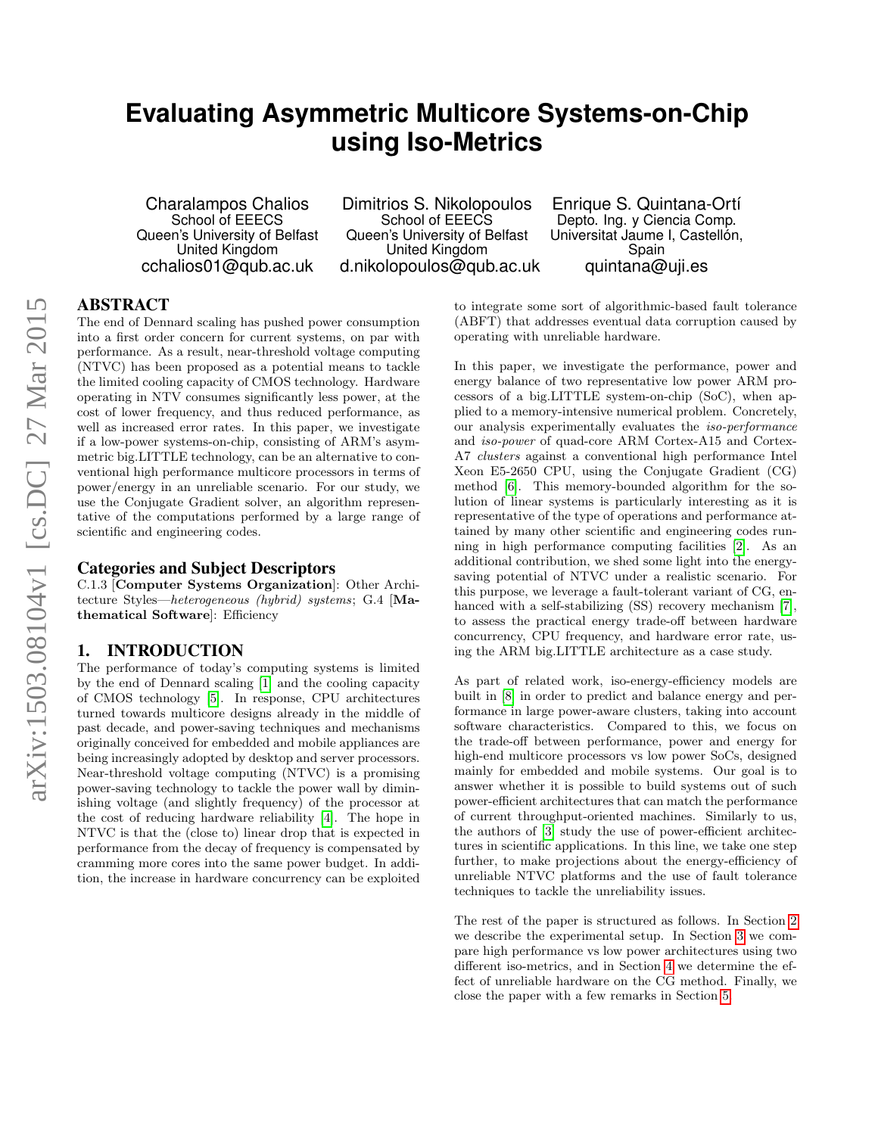# **Evaluating Asymmetric Multicore Systems-on-Chip using Iso-Metrics**

Charalampos Chalios School of EEECS Queen's University of Belfast United Kingdom cchalios01@qub.ac.uk

Dimitrios S. Nikolopoulos School of EEECS Queen's University of Belfast United Kingdom d.nikolopoulos@qub.ac.uk

Enrique S. Quintana-Ortí Depto. Ing. y Ciencia Comp. Universitat Jaume I, Castellón, Spain quintana@uji.es

## ABSTRACT

The end of Dennard scaling has pushed power consumption into a first order concern for current systems, on par with performance. As a result, near-threshold voltage computing (NTVC) has been proposed as a potential means to tackle the limited cooling capacity of CMOS technology. Hardware operating in NTV consumes significantly less power, at the cost of lower frequency, and thus reduced performance, as well as increased error rates. In this paper, we investigate if a low-power systems-on-chip, consisting of ARM's asymmetric big.LITTLE technology, can be an alternative to conventional high performance multicore processors in terms of power/energy in an unreliable scenario. For our study, we use the Conjugate Gradient solver, an algorithm representative of the computations performed by a large range of scientific and engineering codes.

## Categories and Subject Descriptors

C.1.3 [Computer Systems Organization]: Other Architecture Styles—heterogeneous (hybrid) systems; G.4 [Mathematical Software]: Efficiency

### 1. INTRODUCTION

The performance of today's computing systems is limited by the end of Dennard scaling [\[1\]](#page-6-0) and the cooling capacity of CMOS technology [\[5\]](#page-6-1). In response, CPU architectures turned towards multicore designs already in the middle of past decade, and power-saving techniques and mechanisms originally conceived for embedded and mobile appliances are being increasingly adopted by desktop and server processors. Near-threshold voltage computing (NTVC) is a promising power-saving technology to tackle the power wall by diminishing voltage (and slightly frequency) of the processor at the cost of reducing hardware reliability [\[4\]](#page-6-2). The hope in NTVC is that the (close to) linear drop that is expected in performance from the decay of frequency is compensated by cramming more cores into the same power budget. In addition, the increase in hardware concurrency can be exploited

to integrate some sort of algorithmic-based fault tolerance (ABFT) that addresses eventual data corruption caused by operating with unreliable hardware.

In this paper, we investigate the performance, power and energy balance of two representative low power ARM processors of a big.LITTLE system-on-chip (SoC), when applied to a memory-intensive numerical problem. Concretely, our analysis experimentally evaluates the iso-performance and iso-power of quad-core ARM Cortex-A15 and Cortex-A7 clusters against a conventional high performance Intel Xeon E5-2650 CPU, using the Conjugate Gradient (CG) method [\[6\]](#page-6-3). This memory-bounded algorithm for the solution of linear systems is particularly interesting as it is representative of the type of operations and performance attained by many other scientific and engineering codes running in high performance computing facilities [\[2\]](#page-6-4). As an additional contribution, we shed some light into the energysaving potential of NTVC under a realistic scenario. For this purpose, we leverage a fault-tolerant variant of CG, enhanced with a self-stabilizing (SS) recovery mechanism [\[7\]](#page-6-5), to assess the practical energy trade-off between hardware concurrency, CPU frequency, and hardware error rate, using the ARM big.LITTLE architecture as a case study.

As part of related work, iso-energy-efficiency models are built in [\[8\]](#page-6-6) in order to predict and balance energy and performance in large power-aware clusters, taking into account software characteristics. Compared to this, we focus on the trade-off between performance, power and energy for high-end multicore processors vs low power SoCs, designed mainly for embedded and mobile systems. Our goal is to answer whether it is possible to build systems out of such power-efficient architectures that can match the performance of current throughput-oriented machines. Similarly to us, the authors of [\[3\]](#page-6-7) study the use of power-efficient architectures in scientific applications. In this line, we take one step further, to make projections about the energy-efficiency of unreliable NTVC platforms and the use of fault tolerance techniques to tackle the unreliability issues.

The rest of the paper is structured as follows. In Section [2](#page-2-0) we describe the experimental setup. In Section [3](#page-2-1) we compare high performance vs low power architectures using two different iso-metrics, and in Section [4](#page-5-0) we determine the effect of unreliable hardware on the CG method. Finally, we close the paper with a few remarks in Section [5.](#page-6-8)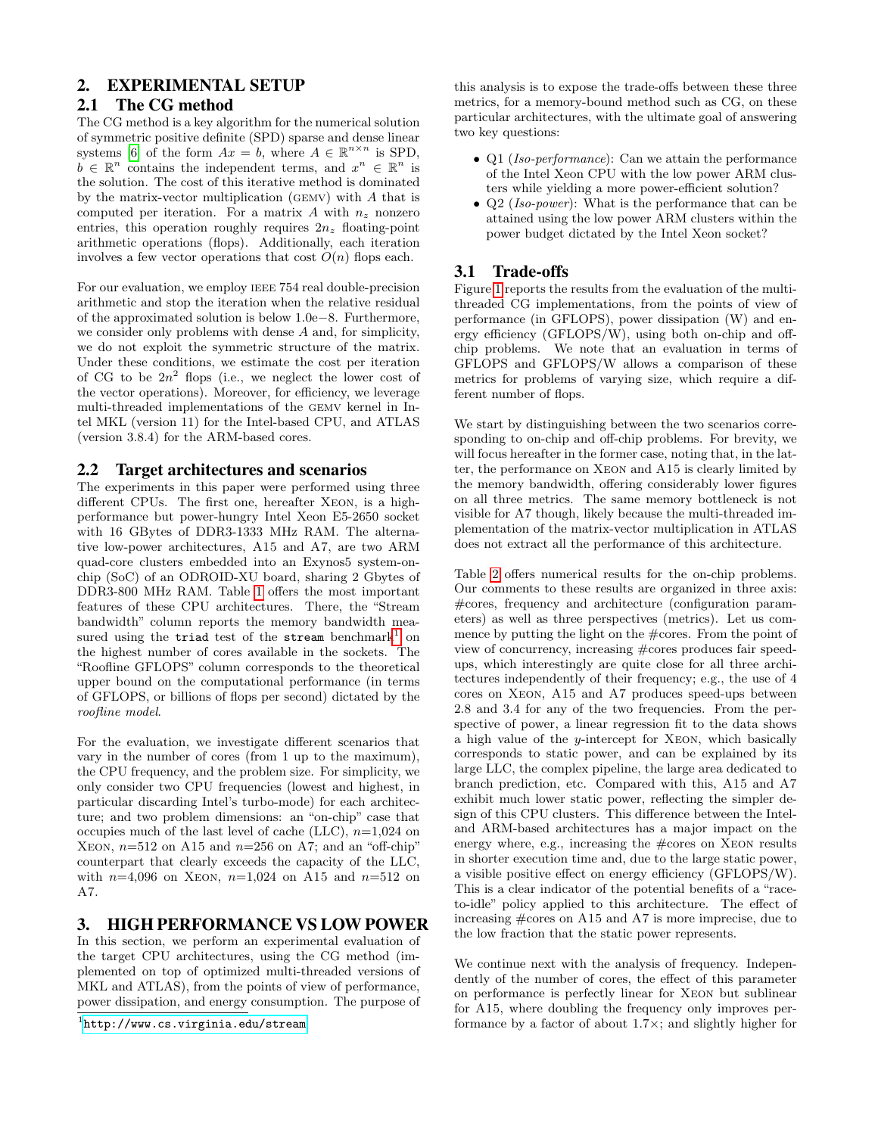## <span id="page-2-0"></span>2. EXPERIMENTAL SETUP

## 2.1 The CG method

The CG method is a key algorithm for the numerical solution of symmetric positive definite (SPD) sparse and dense linear systems [\[6\]](#page-6-3) of the form  $Ax = b$ , where  $A \in \mathbb{R}^{n \times n}$  is SPD,  $\overline{b} \in \mathbb{R}^n$  contains the independent terms, and  $x^n \in \mathbb{R}^n$  is the solution. The cost of this iterative method is dominated by the matrix-vector multiplication (GEMV) with  $A$  that is computed per iteration. For a matrix A with  $n_z$  nonzero entries, this operation roughly requires  $2n_z$  floating-point arithmetic operations (flops). Additionally, each iteration involves a few vector operations that cost  $O(n)$  flops each.

For our evaluation, we employ IEEE 754 real double-precision arithmetic and stop the iteration when the relative residual of the approximated solution is below 1.0e−8. Furthermore, we consider only problems with dense A and, for simplicity, we do not exploit the symmetric structure of the matrix. Under these conditions, we estimate the cost per iteration of CG to be  $2n^2$  flops (i.e., we neglect the lower cost of the vector operations). Moreover, for efficiency, we leverage multi-threaded implementations of the gemv kernel in Intel MKL (version 11) for the Intel-based CPU, and ATLAS (version 3.8.4) for the ARM-based cores.

## 2.2 Target architectures and scenarios

The experiments in this paper were performed using three different CPUs. The first one, hereafter Xeon, is a highperformance but power-hungry Intel Xeon E5-2650 socket with 16 GBytes of DDR3-1333 MHz RAM. The alternative low-power architectures, A15 and A7, are two ARM quad-core clusters embedded into an Exynos5 system-onchip (SoC) of an ODROID-XU board, sharing 2 Gbytes of DDR3-800 MHz RAM. Table [1](#page-3-0) offers the most important features of these CPU architectures. There, the "Stream bandwidth" column reports the memory bandwidth mea-sured using the triad test of the stream benchmark<sup>[1](#page-2-2)</sup> on the highest number of cores available in the sockets. The "Roofline GFLOPS" column corresponds to the theoretical upper bound on the computational performance (in terms of GFLOPS, or billions of flops per second) dictated by the roofline model.

For the evaluation, we investigate different scenarios that vary in the number of cores (from 1 up to the maximum), the CPU frequency, and the problem size. For simplicity, we only consider two CPU frequencies (lowest and highest, in particular discarding Intel's turbo-mode) for each architecture; and two problem dimensions: an "on-chip" case that occupies much of the last level of cache (LLC),  $n=1,024$  on XEON,  $n=512$  on A15 and  $n=256$  on A7; and an "off-chip" counterpart that clearly exceeds the capacity of the LLC, with  $n=4,096$  on XEON,  $n=1,024$  on A15 and  $n=512$  on A7.

# <span id="page-2-1"></span>3. HIGH PERFORMANCE VS LOW POWER

In this section, we perform an experimental evaluation of the target CPU architectures, using the CG method (implemented on top of optimized multi-threaded versions of MKL and ATLAS), from the points of view of performance, power dissipation, and energy consumption. The purpose of

this analysis is to expose the trade-offs between these three metrics, for a memory-bound method such as CG, on these particular architectures, with the ultimate goal of answering two key questions:

- Q1 (Iso-performance): Can we attain the performance of the Intel Xeon CPU with the low power ARM clusters while yielding a more power-efficient solution?
- Q2 (*Iso-power*): What is the performance that can be attained using the low power ARM clusters within the power budget dictated by the Intel Xeon socket?

## 3.1 Trade-offs

Figure [1](#page-3-1) reports the results from the evaluation of the multithreaded CG implementations, from the points of view of performance (in GFLOPS), power dissipation (W) and energy efficiency (GFLOPS/W), using both on-chip and offchip problems. We note that an evaluation in terms of GFLOPS and GFLOPS/W allows a comparison of these metrics for problems of varying size, which require a different number of flops.

We start by distinguishing between the two scenarios corresponding to on-chip and off-chip problems. For brevity, we will focus hereafter in the former case, noting that, in the latter, the performance on Xeon and A15 is clearly limited by the memory bandwidth, offering considerably lower figures on all three metrics. The same memory bottleneck is not visible for A7 though, likely because the multi-threaded implementation of the matrix-vector multiplication in ATLAS does not extract all the performance of this architecture.

Table [2](#page-4-0) offers numerical results for the on-chip problems. Our comments to these results are organized in three axis: #cores, frequency and architecture (configuration parameters) as well as three perspectives (metrics). Let us commence by putting the light on the #cores. From the point of view of concurrency, increasing #cores produces fair speedups, which interestingly are quite close for all three architectures independently of their frequency; e.g., the use of 4 cores on Xeon, A15 and A7 produces speed-ups between 2.8 and 3.4 for any of the two frequencies. From the perspective of power, a linear regression fit to the data shows a high value of the  $y$ -intercept for XEON, which basically corresponds to static power, and can be explained by its large LLC, the complex pipeline, the large area dedicated to branch prediction, etc. Compared with this, A15 and A7 exhibit much lower static power, reflecting the simpler design of this CPU clusters. This difference between the Inteland ARM-based architectures has a major impact on the energy where, e.g., increasing the  $\# \text{cores}$  on XEON results in shorter execution time and, due to the large static power, a visible positive effect on energy efficiency (GFLOPS/W). This is a clear indicator of the potential benefits of a "raceto-idle" policy applied to this architecture. The effect of increasing #cores on A15 and A7 is more imprecise, due to the low fraction that the static power represents.

We continue next with the analysis of frequency. Independently of the number of cores, the effect of this parameter on performance is perfectly linear for Xeon but sublinear for A15, where doubling the frequency only improves performance by a factor of about 1.7×; and slightly higher for

<span id="page-2-2"></span><sup>1</sup> <http://www.cs.virginia.edu/stream>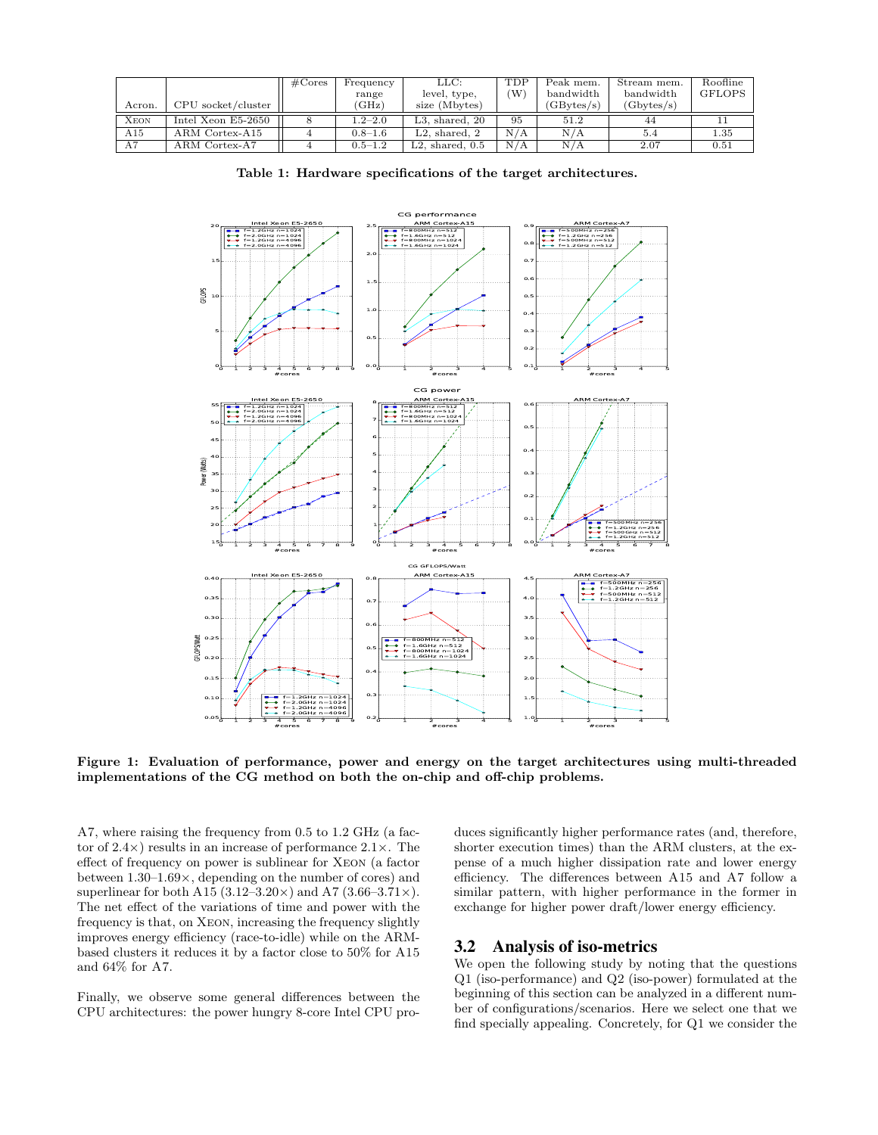|             |                      | $\#\mathrm{Cores}$ | Frequency   | LLC:                | <b>TDP</b>        | Peak mem.  | Stream mem. | Roofline      |
|-------------|----------------------|--------------------|-------------|---------------------|-------------------|------------|-------------|---------------|
|             |                      |                    | range       | level, type,        | (W                | bandwidth  | bandwidth   | <b>GFLOPS</b> |
| Acron.      | CPU socket/cluster   |                    | 'GHz        | size (Mbytes)       |                   | (GBvtes/s) | (Gbytes/s)  |               |
| <b>XEON</b> | Intel Xeon $E5-2650$ |                    | $1.2 - 2.0$ | $L3.$ shared, $20$  | 95                | 51.2       | 44          |               |
| A15         | ARM Cortex-A15       |                    | $0.8 - 1.6$ | $L2.$ shared, $2$   | $N_{\ell}$<br>' A | N/A        | 5.4         | 1.35          |
| A7          | ARM Cortex-A7        |                    | $0.5 - 1.2$ | $L2.$ shared, $0.5$ | N/A               | N/A        | 2.07        | 0.51          |

<span id="page-3-0"></span>Table 1: Hardware specifications of the target architectures.



<span id="page-3-1"></span>Figure 1: Evaluation of performance, power and energy on the target architectures using multi-threaded implementations of the CG method on both the on-chip and off-chip problems.

A7, where raising the frequency from 0.5 to 1.2 GHz (a factor of  $2.4 \times$ ) results in an increase of performance  $2.1 \times$ . The effect of frequency on power is sublinear for Xeon (a factor between 1.30–1.69×, depending on the number of cores) and superlinear for both A15 (3.12–3.20 $\times$ ) and A7 (3.66–3.71 $\times$ ). The net effect of the variations of time and power with the frequency is that, on Xeon, increasing the frequency slightly improves energy efficiency (race-to-idle) while on the ARMbased clusters it reduces it by a factor close to 50% for A15 and 64% for A7.

Finally, we observe some general differences between the CPU architectures: the power hungry 8-core Intel CPU produces significantly higher performance rates (and, therefore, shorter execution times) than the ARM clusters, at the expense of a much higher dissipation rate and lower energy efficiency. The differences between A15 and A7 follow a similar pattern, with higher performance in the former in exchange for higher power draft/lower energy efficiency.

## 3.2 Analysis of iso-metrics

We open the following study by noting that the questions Q1 (iso-performance) and Q2 (iso-power) formulated at the beginning of this section can be analyzed in a different number of configurations/scenarios. Here we select one that we find specially appealing. Concretely, for Q1 we consider the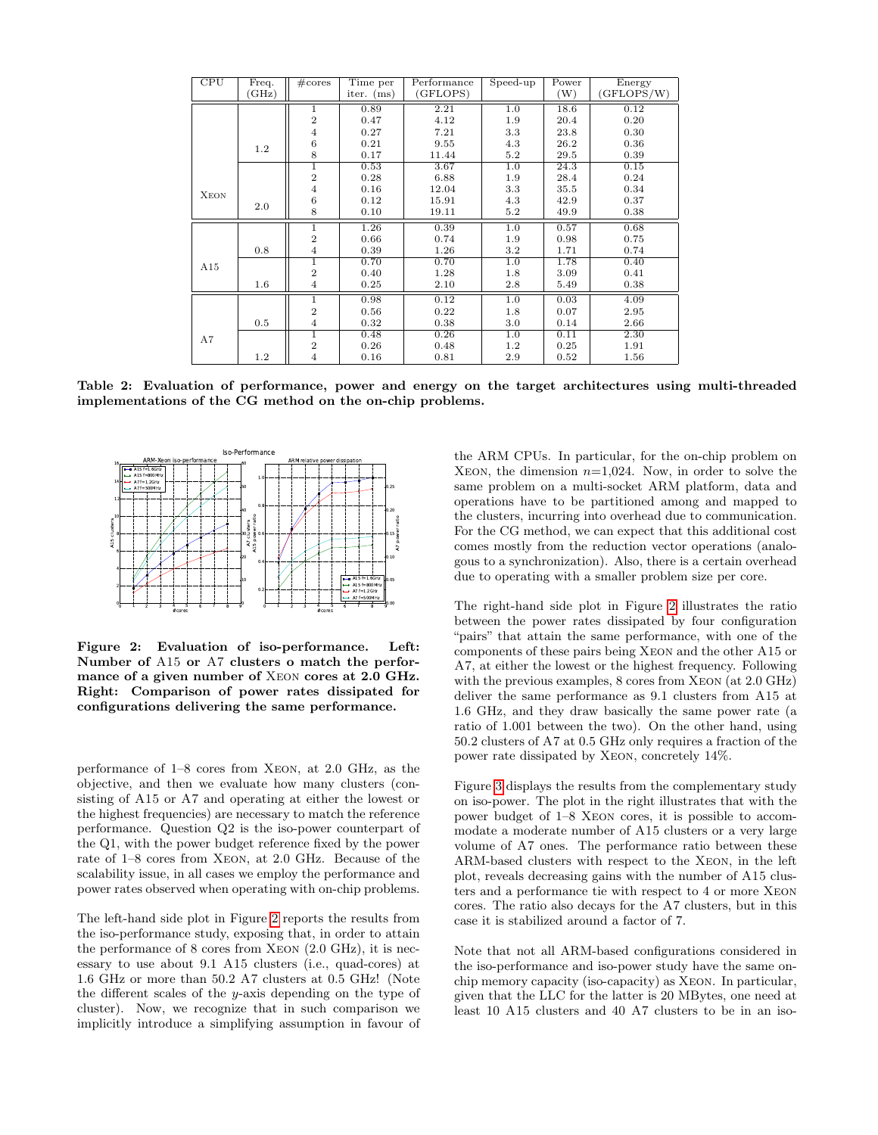| $\overline{\text{CPU}}$ | Freq. | #cores         | Time per     | Performance | Speed-up | Power | Energy     |
|-------------------------|-------|----------------|--------------|-------------|----------|-------|------------|
|                         | GHz)  |                | iter. $(ms)$ | GFLOPS)     |          | (W)   | (GFLOPS/W) |
|                         |       | $\mathbf{1}$   | 0.89         | 2.21        | 1.0      | 18.6  | 0.12       |
|                         |       | $\overline{2}$ | 0.47         | 4.12        | 1.9      | 20.4  | 0.20       |
|                         |       | $\overline{4}$ | 0.27         | 7.21        | 3.3      | 23.8  | 0.30       |
|                         | 1.2   | 6              | 0.21         | 9.55        | 4.3      | 26.2  | 0.36       |
|                         |       | 8              | 0.17         | 11.44       | 5.2      | 29.5  | 0.39       |
|                         |       | 1              | 0.53         | 3.67        | 1.0      | 24.3  | 0.15       |
|                         |       | $\overline{2}$ | 0.28         | 6.88        | 1.9      | 28.4  | 0.24       |
| <b>XEON</b>             |       | $\overline{4}$ | 0.16         | 12.04       | 3.3      | 35.5  | 0.34       |
|                         | 2.0   | 6              | 0.12         | 15.91       | 4.3      | 42.9  | 0.37       |
|                         |       | 8              | 0.10         | 19.11       | 5.2      | 49.9  | 0.38       |
|                         |       | 1              | 1.26         | 0.39        | 1.0      | 0.57  | 0.68       |
|                         |       | $\overline{2}$ | 0.66         | 0.74        | 1.9      | 0.98  | 0.75       |
|                         | 0.8   | $\overline{4}$ | 0.39         | 1.26        | $3.2\,$  | 1.71  | 0.74       |
| A15                     |       | 1              | 0.70         | 0.70        | 1.0      | 1.78  | 0.40       |
|                         |       | $\overline{2}$ | 0.40         | 1.28        | 1.8      | 3.09  | 0.41       |
|                         | 1.6   | $\overline{4}$ | 0.25         | 2.10        | 2.8      | 5.49  | 0.38       |
|                         |       | 1              | 0.98         | 0.12        | 1.0      | 0.03  | 4.09       |
|                         |       | $\overline{2}$ | 0.56         | 0.22        | 1.8      | 0.07  | 2.95       |
| A7                      | 0.5   | $\overline{4}$ | 0.32         | 0.38        | 3.0      | 0.14  | 2.66       |
|                         |       | 1              | 0.48         | 0.26        | 1.0      | 0.11  | 2.30       |
|                         |       | $\overline{2}$ | 0.26         | 0.48        | $1.2\,$  | 0.25  | 1.91       |
|                         | 1.2   | $\overline{4}$ | 0.16         | 0.81        | 2.9      | 0.52  | 1.56       |

<span id="page-4-0"></span>Table 2: Evaluation of performance, power and energy on the target architectures using multi-threaded implementations of the CG method on the on-chip problems.



<span id="page-4-1"></span>Figure 2: Evaluation of iso-performance. Left: Number of A15 or A7 clusters o match the performance of a given number of Xeon cores at 2.0 GHz. Right: Comparison of power rates dissipated for configurations delivering the same performance.

performance of 1–8 cores from Xeon, at 2.0 GHz, as the objective, and then we evaluate how many clusters (consisting of A15 or A7 and operating at either the lowest or the highest frequencies) are necessary to match the reference performance. Question Q2 is the iso-power counterpart of the Q1, with the power budget reference fixed by the power rate of 1–8 cores from Xeon, at 2.0 GHz. Because of the scalability issue, in all cases we employ the performance and power rates observed when operating with on-chip problems.

The left-hand side plot in Figure [2](#page-4-1) reports the results from the iso-performance study, exposing that, in order to attain the performance of 8 cores from Xeon (2.0 GHz), it is necessary to use about 9.1 A15 clusters (i.e., quad-cores) at 1.6 GHz or more than 50.2 A7 clusters at 0.5 GHz! (Note the different scales of the y-axis depending on the type of cluster). Now, we recognize that in such comparison we implicitly introduce a simplifying assumption in favour of

the ARM CPUs. In particular, for the on-chip problem on XEON, the dimension  $n=1,024$ . Now, in order to solve the same problem on a multi-socket ARM platform, data and operations have to be partitioned among and mapped to the clusters, incurring into overhead due to communication. For the CG method, we can expect that this additional cost comes mostly from the reduction vector operations (analogous to a synchronization). Also, there is a certain overhead due to operating with a smaller problem size per core.

The right-hand side plot in Figure [2](#page-4-1) illustrates the ratio between the power rates dissipated by four configuration "pairs" that attain the same performance, with one of the components of these pairs being Xeon and the other A15 or A7, at either the lowest or the highest frequency. Following with the previous examples, 8 cores from XEON (at 2.0 GHz) deliver the same performance as 9.1 clusters from A15 at 1.6 GHz, and they draw basically the same power rate (a ratio of 1.001 between the two). On the other hand, using 50.2 clusters of A7 at 0.5 GHz only requires a fraction of the power rate dissipated by Xeon, concretely 14%.

Figure [3](#page-5-1) displays the results from the complementary study on iso-power. The plot in the right illustrates that with the power budget of 1–8 Xeon cores, it is possible to accommodate a moderate number of A15 clusters or a very large volume of A7 ones. The performance ratio between these ARM-based clusters with respect to the Xeon, in the left plot, reveals decreasing gains with the number of A15 clusters and a performance tie with respect to 4 or more Xeon cores. The ratio also decays for the A7 clusters, but in this case it is stabilized around a factor of 7.

Note that not all ARM-based configurations considered in the iso-performance and iso-power study have the same onchip memory capacity (iso-capacity) as Xeon. In particular, given that the LLC for the latter is 20 MBytes, one need at least 10 A15 clusters and 40 A7 clusters to be in an iso-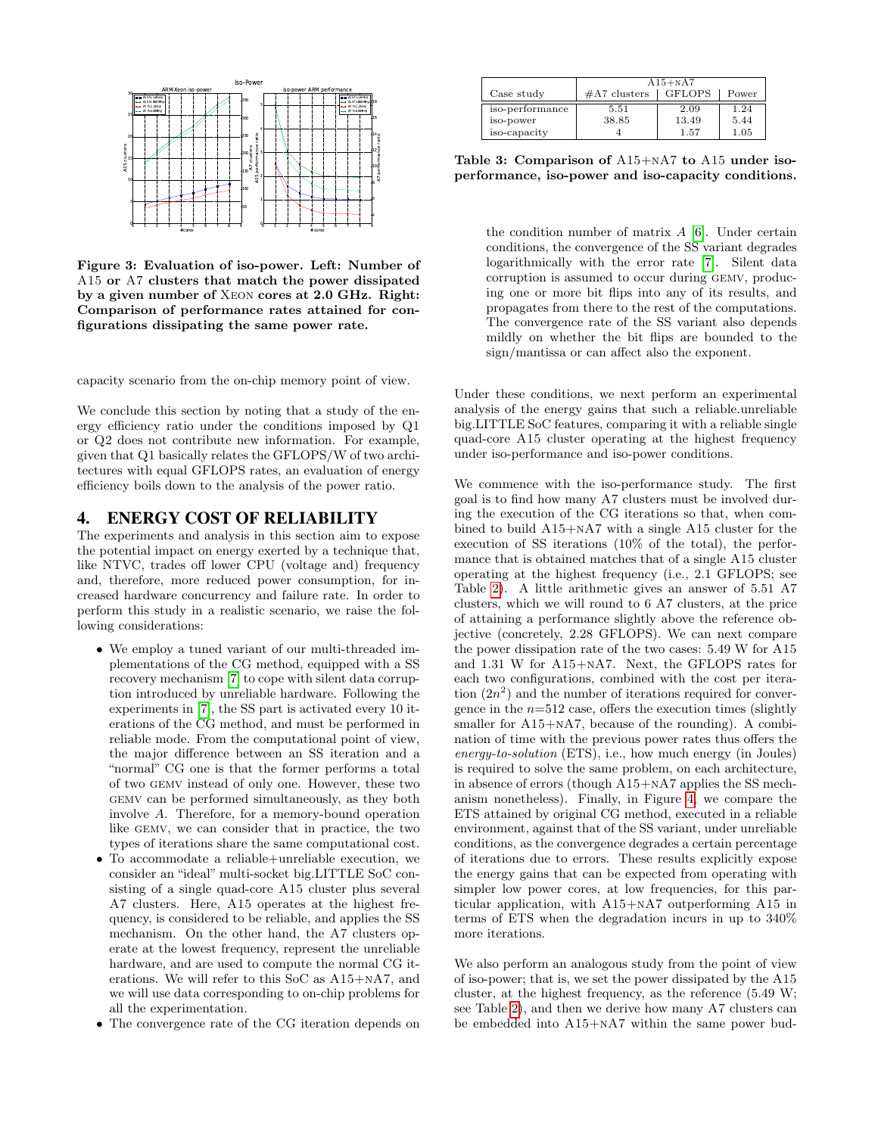

<span id="page-5-1"></span>Figure 3: Evaluation of iso-power. Left: Number of A15 or A7 clusters that match the power dissipated by a given number of Xeon cores at 2.0 GHz. Right: Comparison of performance rates attained for configurations dissipating the same power rate.

capacity scenario from the on-chip memory point of view.

We conclude this section by noting that a study of the energy efficiency ratio under the conditions imposed by Q1 or Q2 does not contribute new information. For example, given that Q1 basically relates the GFLOPS/W of two architectures with equal GFLOPS rates, an evaluation of energy efficiency boils down to the analysis of the power ratio.

## <span id="page-5-0"></span>4. ENERGY COST OF RELIABILITY

The experiments and analysis in this section aim to expose the potential impact on energy exerted by a technique that, like NTVC, trades off lower CPU (voltage and) frequency and, therefore, more reduced power consumption, for increased hardware concurrency and failure rate. In order to perform this study in a realistic scenario, we raise the following considerations:

- We employ a tuned variant of our multi-threaded implementations of the CG method, equipped with a SS recovery mechanism [\[7\]](#page-6-5) to cope with silent data corruption introduced by unreliable hardware. Following the experiments in [\[7\]](#page-6-5), the SS part is activated every 10 iterations of the CG method, and must be performed in reliable mode. From the computational point of view, the major difference between an SS iteration and a "normal" CG one is that the former performs a total of two gemv instead of only one. However, these two gemv can be performed simultaneously, as they both involve A. Therefore, for a memory-bound operation like gemv, we can consider that in practice, the two types of iterations share the same computational cost.
- To accommodate a reliable+unreliable execution, we consider an "ideal" multi-socket big.LITTLE SoC consisting of a single quad-core A15 cluster plus several A7 clusters. Here, A15 operates at the highest frequency, is considered to be reliable, and applies the SS mechanism. On the other hand, the A7 clusters operate at the lowest frequency, represent the unreliable hardware, and are used to compute the normal CG iterations. We will refer to this SoC as A15+nA7, and we will use data corresponding to on-chip problems for all the experimentation.
- The convergence rate of the CG iteration depends on

|                              | $A15+NA7$      |               |              |  |  |
|------------------------------|----------------|---------------|--------------|--|--|
| Case study                   | $#A7$ clusters | <b>GFLOPS</b> | Power        |  |  |
| iso-performance<br>iso-power | 5.51<br>38.85  | 2.09<br>13.49 | 1.24<br>5.44 |  |  |
| iso-capacity                 |                | 1.57          | 1.05         |  |  |

<span id="page-5-2"></span>Table 3: Comparison of A15+nA7 to A15 under isoperformance, iso-power and iso-capacity conditions.

the condition number of matrix  $A$  [\[6\]](#page-6-3). Under certain conditions, the convergence of the SS variant degrades logarithmically with the error rate [\[7\]](#page-6-5). Silent data corruption is assumed to occur during gemv, producing one or more bit flips into any of its results, and propagates from there to the rest of the computations. The convergence rate of the SS variant also depends mildly on whether the bit flips are bounded to the sign/mantissa or can affect also the exponent.

Under these conditions, we next perform an experimental analysis of the energy gains that such a reliable.unreliable big.LITTLE SoC features, comparing it with a reliable single quad-core A15 cluster operating at the highest frequency under iso-performance and iso-power conditions.

We commence with the iso-performance study. The first goal is to find how many A7 clusters must be involved during the execution of the CG iterations so that, when combined to build A15+nA7 with a single A15 cluster for the execution of SS iterations (10% of the total), the performance that is obtained matches that of a single A15 cluster operating at the highest frequency (i.e., 2.1 GFLOPS; see Table [2\)](#page-4-0). A little arithmetic gives an answer of 5.51 A7 clusters, which we will round to 6 A7 clusters, at the price of attaining a performance slightly above the reference objective (concretely, 2.28 GFLOPS). We can next compare the power dissipation rate of the two cases: 5.49 W for A15 and 1.31 W for A15+nA7. Next, the GFLOPS rates for each two configurations, combined with the cost per iteration  $(2n^2)$  and the number of iterations required for convergence in the  $n=512$  case, offers the execution times (slightly smaller for A15+NA7, because of the rounding). A combination of time with the previous power rates thus offers the energy-to-solution (ETS), i.e., how much energy (in Joules) is required to solve the same problem, on each architecture, in absence of errors (though A15+nA7 applies the SS mechanism nonetheless). Finally, in Figure [4,](#page-6-9) we compare the ETS attained by original CG method, executed in a reliable environment, against that of the SS variant, under unreliable conditions, as the convergence degrades a certain percentage of iterations due to errors. These results explicitly expose the energy gains that can be expected from operating with simpler low power cores, at low frequencies, for this particular application, with A15+nA7 outperforming A15 in terms of ETS when the degradation incurs in up to 340% more iterations.

We also perform an analogous study from the point of view of iso-power; that is, we set the power dissipated by the A15 cluster, at the highest frequency, as the reference (5.49 W; see Table [2\)](#page-4-0), and then we derive how many A7 clusters can be embedded into A15+nA7 within the same power bud-